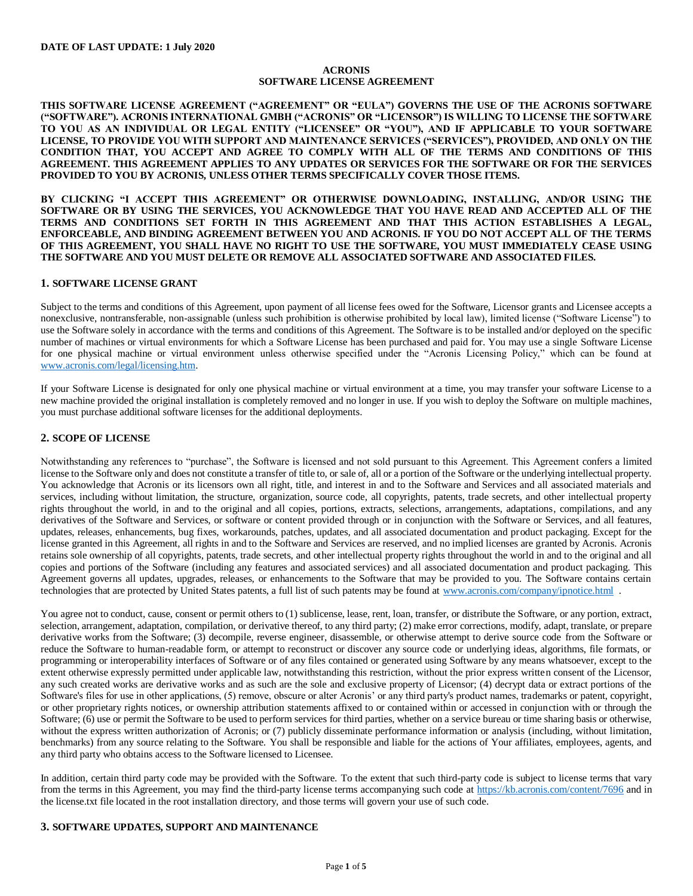#### **ACRONIS SOFTWARE LICENSE AGREEMENT**

**THIS SOFTWARE LICENSE AGREEMENT ("AGREEMENT" OR "EULA") GOVERNS THE USE OF THE ACRONIS SOFTWARE ("SOFTWARE"). ACRONIS INTERNATIONAL GMBH ("ACRONIS" OR "LICENSOR") IS WILLING TO LICENSE THE SOFTWARE TO YOU AS AN INDIVIDUAL OR LEGAL ENTITY ("LICENSEE" OR "YOU"), AND IF APPLICABLE TO YOUR SOFTWARE LICENSE, TO PROVIDE YOU WITH SUPPORT AND MAINTENANCE SERVICES ("SERVICES"), PROVIDED, AND ONLY ON THE CONDITION THAT, YOU ACCEPT AND AGREE TO COMPLY WITH ALL OF THE TERMS AND CONDITIONS OF THIS AGREEMENT. THIS AGREEMENT APPLIES TO ANY UPDATES OR SERVICES FOR THE SOFTWARE OR FOR THE SERVICES PROVIDED TO YOU BY ACRONIS, UNLESS OTHER TERMS SPECIFICALLY COVER THOSE ITEMS.** 

**BY CLICKING "I ACCEPT THIS AGREEMENT" OR OTHERWISE DOWNLOADING, INSTALLING, AND/OR USING THE SOFTWARE OR BY USING THE SERVICES, YOU ACKNOWLEDGE THAT YOU HAVE READ AND ACCEPTED ALL OF THE TERMS AND CONDITIONS SET FORTH IN THIS AGREEMENT AND THAT THIS ACTION ESTABLISHES A LEGAL, ENFORCEABLE, AND BINDING AGREEMENT BETWEEN YOU AND ACRONIS. IF YOU DO NOT ACCEPT ALL OF THE TERMS OF THIS AGREEMENT, YOU SHALL HAVE NO RIGHT TO USE THE SOFTWARE, YOU MUST IMMEDIATELY CEASE USING THE SOFTWARE AND YOU MUST DELETE OR REMOVE ALL ASSOCIATED SOFTWARE AND ASSOCIATED FILES.** 

### **1. SOFTWARE LICENSE GRANT**

Subject to the terms and conditions of this Agreement, upon payment of all license fees owed for the Software, Licensor grants and Licensee accepts a nonexclusive, nontransferable, non-assignable (unless such prohibition is otherwise prohibited by local law), limited license ("Software License") to use the Software solely in accordance with the terms and conditions of this Agreement. The Software is to be installed and/or deployed on the specific number of machines or virtual environments for which a Software License has been purchased and paid for. You may use a single Software License for one physical machine or virtual environment unless otherwise specified under the "Acronis Licensing Policy," which can be found at [www.acronis.com/legal/licensing.htm.](https://www.acronis.com/legal/licensing.htm)

If your Software License is designated for only one physical machine or virtual environment at a time, you may transfer your software License to a new machine provided the original installation is completely removed and no longer in use. If you wish to deploy the Software on multiple machines, you must purchase additional software licenses for the additional deployments.

## **2. SCOPE OF LICENSE**

Notwithstanding any references to "purchase", the Software is licensed and not sold pursuant to this Agreement. This Agreement confers a limited license to the Software only and does not constitute a transfer of title to, or sale of, all or a portion of the Software or the underlying intellectual property. You acknowledge that Acronis or its licensors own all right, title, and interest in and to the Software and Services and all associated materials and services, including without limitation, the structure, organization, source code, all copyrights, patents, trade secrets, and other intellectual property rights throughout the world, in and to the original and all copies, portions, extracts, selections, arrangements, adaptations, compilations, and any derivatives of the Software and Services, or software or content provided through or in conjunction with the Software or Services, and all features, updates, releases, enhancements, bug fixes, workarounds, patches, updates, and all associated documentation and product packaging. Except for the license granted in this Agreement, all rights in and to the Software and Services are reserved, and no implied licenses are granted by Acronis. Acronis retains sole ownership of all copyrights, patents, trade secrets, and other intellectual property rights throughout the world in and to the original and all copies and portions of the Software (including any features and associated services) and all associated documentation and product packaging. This Agreement governs all updates, upgrades, releases, or enhancements to the Software that may be provided to you. The Software contains certain technologies that are protected by United States patents, a full list of such patents may be found at [www.acronis.com/company/ipnotice.html](https://www.acronis.com/company/ipnotice.html) .

You agree not to conduct, cause, consent or permit others to (1) sublicense, lease, rent, loan, transfer, or distribute the Software, or any portion, extract, selection, arrangement, adaptation, compilation, or derivative thereof, to any third party; (2) make error corrections, modify, adapt, translate, or prepare derivative works from the Software; (3) decompile, reverse engineer, disassemble, or otherwise attempt to derive source code from the Software or reduce the Software to human-readable form, or attempt to reconstruct or discover any source code or underlying ideas, algorithms, file formats, or programming or interoperability interfaces of Software or of any files contained or generated using Software by any means whatsoever, except to the extent otherwise expressly permitted under applicable law, notwithstanding this restriction, without the prior express written consent of the Licensor, any such created works are derivative works and as such are the sole and exclusive property of Licensor; (4) decrypt data or extract portions of the Software's files for use in other applications, (5) remove, obscure or alter Acronis' or any third party's product names, trademarks or patent, copyright, or other proprietary rights notices, or ownership attribution statements affixed to or contained within or accessed in conjunction with or through the Software; (6) use or permit the Software to be used to perform services for third parties, whether on a service bureau or time sharing basis or otherwise, without the express written authorization of Acronis; or (7) publicly disseminate performance information or analysis (including, without limitation, benchmarks) from any source relating to the Software. You shall be responsible and liable for the actions of Your affiliates, employees, agents, and any third party who obtains access to the Software licensed to Licensee.

In addition, certain third party code may be provided with the Software. To the extent that such third-party code is subject to license terms that vary from the terms in this Agreement, you may find the third-party license terms accompanying such code at<https://kb.acronis.com/content/7696> and in the license.txt file located in the root installation directory, and those terms will govern your use of such code.

#### **3. SOFTWARE UPDATES, SUPPORT AND MAINTENANCE**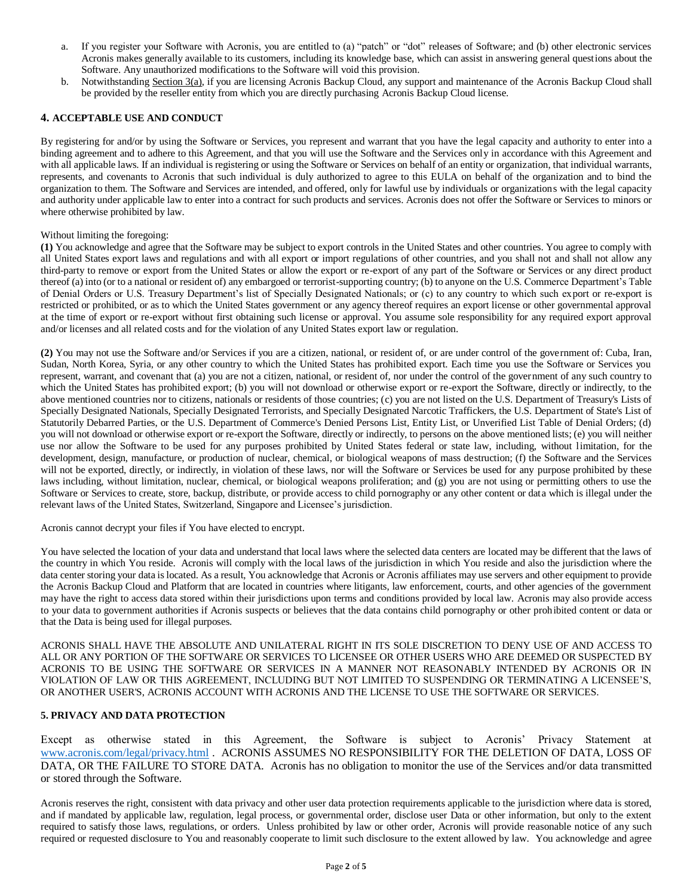- a. If you register your Software with Acronis, you are entitled to (a) "patch" or "dot" releases of Software; and (b) other electronic services Acronis makes generally available to its customers, including its knowledge base, which can assist in answering general questions about the Software. Any unauthorized modifications to the Software will void this provision.
- b. Notwithstanding Section 3(a), if you are licensing Acronis Backup Cloud, any support and maintenance of the Acronis Backup Cloud shall be provided by the reseller entity from which you are directly purchasing Acronis Backup Cloud license.

## **4. ACCEPTABLE USE AND CONDUCT**

By registering for and/or by using the Software or Services, you represent and warrant that you have the legal capacity and authority to enter into a binding agreement and to adhere to this Agreement, and that you will use the Software and the Services only in accordance with this Agreement and with all applicable laws. If an individual is registering or using the Software or Services on behalf of an entity or organization, that individual warrants, represents, and covenants to Acronis that such individual is duly authorized to agree to this EULA on behalf of the organization and to bind the organization to them. The Software and Services are intended, and offered, only for lawful use by individuals or organizations with the legal capacity and authority under applicable law to enter into a contract for such products and services. Acronis does not offer the Software or Services to minors or where otherwise prohibited by law.

## Without limiting the foregoing:

**(1)** You acknowledge and agree that the Software may be subject to export controls in the United States and other countries. You agree to comply with all United States export laws and regulations and with all export or import regulations of other countries, and you shall not and shall not allow any third-party to remove or export from the United States or allow the export or re-export of any part of the Software or Services or any direct product thereof (a) into (or to a national or resident of) any embargoed or terrorist-supporting country; (b) to anyone on the U.S. Commerce Department's Table of Denial Orders or U.S. Treasury Department's list of Specially Designated Nationals; or (c) to any country to which such export or re-export is restricted or prohibited, or as to which the United States government or any agency thereof requires an export license or other governmental approval at the time of export or re-export without first obtaining such license or approval. You assume sole responsibility for any required export approval and/or licenses and all related costs and for the violation of any United States export law or regulation.

**(2)** You may not use the Software and/or Services if you are a citizen, national, or resident of, or are under control of the government of: Cuba, Iran, Sudan, North Korea, Syria, or any other country to which the United States has prohibited export. Each time you use the Software or Services you represent, warrant, and covenant that (a) you are not a citizen, national, or resident of, nor under the control of the government of any such country to which the United States has prohibited export; (b) you will not download or otherwise export or re-export the Software, directly or indirectly, to the above mentioned countries nor to citizens, nationals or residents of those countries; (c) you are not listed on the U.S. Department of Treasury's Lists of Specially Designated Nationals, Specially Designated Terrorists, and Specially Designated Narcotic Traffickers, the U.S. Department of State's List of Statutorily Debarred Parties, or the U.S. Department of Commerce's Denied Persons List, Entity List, or Unverified List Table of Denial Orders; (d) you will not download or otherwise export or re-export the Software, directly or indirectly, to persons on the above mentioned lists; (e) you will neither use nor allow the Software to be used for any purposes prohibited by United States federal or state law, including, without limitation, for the development, design, manufacture, or production of nuclear, chemical, or biological weapons of mass destruction; (f) the Software and the Services will not be exported, directly, or indirectly, in violation of these laws, nor will the Software or Services be used for any purpose prohibited by these laws including, without limitation, nuclear, chemical, or biological weapons proliferation; and (g) you are not using or permitting others to use the Software or Services to create, store, backup, distribute, or provide access to child pornography or any other content or data which is illegal under the relevant laws of the United States, Switzerland, Singapore and Licensee's jurisdiction.

Acronis cannot decrypt your files if You have elected to encrypt.

You have selected the location of your data and understand that local laws where the selected data centers are located may be different that the laws of the country in which You reside. Acronis will comply with the local laws of the jurisdiction in which You reside and also the jurisdiction where the data center storing your data is located. As a result, You acknowledge that Acronis or Acronis affiliates may use servers and other equipment to provide the Acronis Backup Cloud and Platform that are located in countries where litigants, law enforcement, courts, and other agencies of the government may have the right to access data stored within their jurisdictions upon terms and conditions provided by local law. Acronis may also provide access to your data to government authorities if Acronis suspects or believes that the data contains child pornography or other prohibited content or data or that the Data is being used for illegal purposes.

ACRONIS SHALL HAVE THE ABSOLUTE AND UNILATERAL RIGHT IN ITS SOLE DISCRETION TO DENY USE OF AND ACCESS TO ALL OR ANY PORTION OF THE SOFTWARE OR SERVICES TO LICENSEE OR OTHER USERS WHO ARE DEEMED OR SUSPECTED BY ACRONIS TO BE USING THE SOFTWARE OR SERVICES IN A MANNER NOT REASONABLY INTENDED BY ACRONIS OR IN VIOLATION OF LAW OR THIS AGREEMENT, INCLUDING BUT NOT LIMITED TO SUSPENDING OR TERMINATING A LICENSEE'S, OR ANOTHER USER'S, ACRONIS ACCOUNT WITH ACRONIS AND THE LICENSE TO USE THE SOFTWARE OR SERVICES.

## **5. PRIVACY AND DATA PROTECTION**

Except as otherwise stated in this Agreement, the Software is subject to Acronis' Privacy Statement at [www.acronis.com/legal/privacy.html](https://www.acronis.com/legal/privacy.html) . ACRONIS ASSUMES NO RESPONSIBILITY FOR THE DELETION OF DATA, LOSS OF DATA, OR THE FAILURE TO STORE DATA. Acronis has no obligation to monitor the use of the Services and/or data transmitted or stored through the Software.

Acronis reserves the right, consistent with data privacy and other user data protection requirements applicable to the jurisdiction where data is stored, and if mandated by applicable law, regulation, legal process, or governmental order, disclose user Data or other information, but only to the extent required to satisfy those laws, regulations, or orders. Unless prohibited by law or other order, Acronis will provide reasonable notice of any such required or requested disclosure to You and reasonably cooperate to limit such disclosure to the extent allowed by law. You acknowledge and agree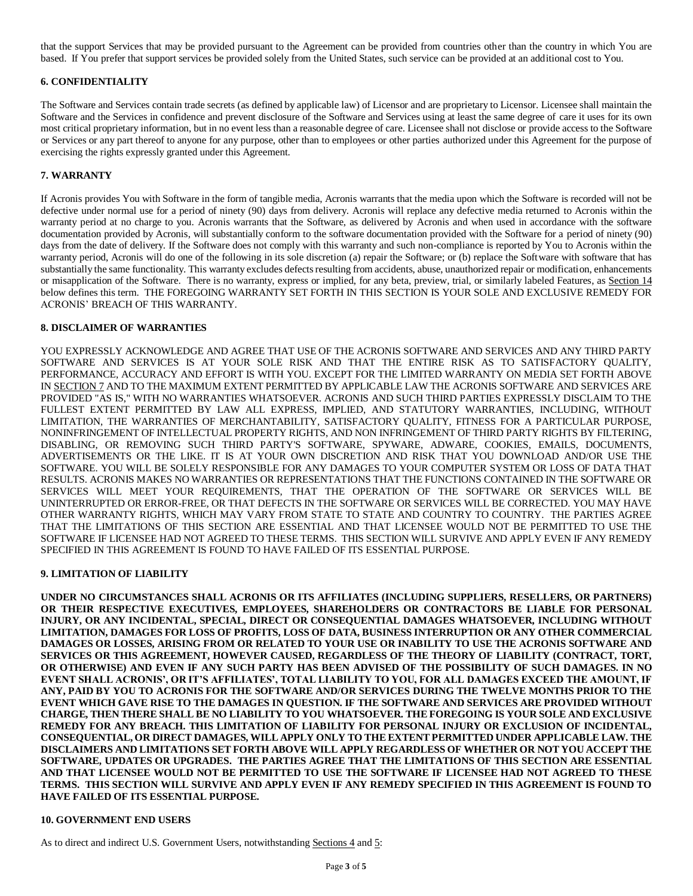that the support Services that may be provided pursuant to the Agreement can be provided from countries other than the country in which You are based. If You prefer that support services be provided solely from the United States, such service can be provided at an additional cost to You.

## **6. CONFIDENTIALITY**

The Software and Services contain trade secrets (as defined by applicable law) of Licensor and are proprietary to Licensor. Licensee shall maintain the Software and the Services in confidence and prevent disclosure of the Software and Services using at least the same degree of care it uses for its own most critical proprietary information, but in no event less than a reasonable degree of care. Licensee shall not disclose or provide access to the Software or Services or any part thereof to anyone for any purpose, other than to employees or other parties authorized under this Agreement for the purpose of exercising the rights expressly granted under this Agreement.

## **7. WARRANTY**

If Acronis provides You with Software in the form of tangible media, Acronis warrants that the media upon which the Software is recorded will not be defective under normal use for a period of ninety (90) days from delivery. Acronis will replace any defective media returned to Acronis within the warranty period at no charge to you. Acronis warrants that the Software, as delivered by Acronis and when used in accordance with the software documentation provided by Acronis, will substantially conform to the software documentation provided with the Software for a period of ninety (90) days from the date of delivery. If the Software does not comply with this warranty and such non-compliance is reported by You to Acronis within the warranty period, Acronis will do one of the following in its sole discretion (a) repair the Software; or (b) replace the Software with software that has substantially the same functionality. This warranty excludes defects resulting from accidents, abuse, unauthorized repair or modification, enhancements or misapplication of the Software. There is no warranty, express or implied, for any beta, preview, trial, or similarly labeled Features, as Section 14 below defines this term. THE FOREGOING WARRANTY SET FORTH IN THIS SECTION IS YOUR SOLE AND EXCLUSIVE REMEDY FOR ACRONIS' BREACH OF THIS WARRANTY.

### **8. DISCLAIMER OF WARRANTIES**

YOU EXPRESSLY ACKNOWLEDGE AND AGREE THAT USE OF THE ACRONIS SOFTWARE AND SERVICES AND ANY THIRD PARTY SOFTWARE AND SERVICES IS AT YOUR SOLE RISK AND THAT THE ENTIRE RISK AS TO SATISFACTORY QUALITY, PERFORMANCE, ACCURACY AND EFFORT IS WITH YOU. EXCEPT FOR THE LIMITED WARRANTY ON MEDIA SET FORTH ABOVE IN SECTION 7 AND TO THE MAXIMUM EXTENT PERMITTED BY APPLICABLE LAW THE ACRONIS SOFTWARE AND SERVICES ARE PROVIDED "AS IS," WITH NO WARRANTIES WHATSOEVER. ACRONIS AND SUCH THIRD PARTIES EXPRESSLY DISCLAIM TO THE FULLEST EXTENT PERMITTED BY LAW ALL EXPRESS, IMPLIED, AND STATUTORY WARRANTIES, INCLUDING, WITHOUT LIMITATION, THE WARRANTIES OF MERCHANTABILITY, SATISFACTORY QUALITY, FITNESS FOR A PARTICULAR PURPOSE, NONINFRINGEMENT OF INTELLECTUAL PROPERTY RIGHTS, AND NON INFRINGEMENT OF THIRD PARTY RIGHTS BY FILTERING, DISABLING, OR REMOVING SUCH THIRD PARTY'S SOFTWARE, SPYWARE, ADWARE, COOKIES, EMAILS, DOCUMENTS, ADVERTISEMENTS OR THE LIKE. IT IS AT YOUR OWN DISCRETION AND RISK THAT YOU DOWNLOAD AND/OR USE THE SOFTWARE. YOU WILL BE SOLELY RESPONSIBLE FOR ANY DAMAGES TO YOUR COMPUTER SYSTEM OR LOSS OF DATA THAT RESULTS. ACRONIS MAKES NO WARRANTIES OR REPRESENTATIONS THAT THE FUNCTIONS CONTAINED IN THE SOFTWARE OR SERVICES WILL MEET YOUR REQUIREMENTS, THAT THE OPERATION OF THE SOFTWARE OR SERVICES WILL BE UNINTERRUPTED OR ERROR-FREE, OR THAT DEFECTS IN THE SOFTWARE OR SERVICES WILL BE CORRECTED. YOU MAY HAVE OTHER WARRANTY RIGHTS, WHICH MAY VARY FROM STATE TO STATE AND COUNTRY TO COUNTRY. THE PARTIES AGREE THAT THE LIMITATIONS OF THIS SECTION ARE ESSENTIAL AND THAT LICENSEE WOULD NOT BE PERMITTED TO USE THE SOFTWARE IF LICENSEE HAD NOT AGREED TO THESE TERMS. THIS SECTION WILL SURVIVE AND APPLY EVEN IF ANY REMEDY SPECIFIED IN THIS AGREEMENT IS FOUND TO HAVE FAILED OF ITS ESSENTIAL PURPOSE.

#### **9. LIMITATION OF LIABILITY**

**UNDER NO CIRCUMSTANCES SHALL ACRONIS OR ITS AFFILIATES (INCLUDING SUPPLIERS, RESELLERS, OR PARTNERS) OR THEIR RESPECTIVE EXECUTIVES, EMPLOYEES, SHAREHOLDERS OR CONTRACTORS BE LIABLE FOR PERSONAL INJURY, OR ANY INCIDENTAL, SPECIAL, DIRECT OR CONSEQUENTIAL DAMAGES WHATSOEVER, INCLUDING WITHOUT LIMITATION, DAMAGES FOR LOSS OF PROFITS, LOSS OF DATA, BUSINESS INTERRUPTION OR ANY OTHER COMMERCIAL DAMAGES OR LOSSES, ARISING FROM OR RELATED TO YOUR USE OR INABILITY TO USE THE ACRONIS SOFTWARE AND SERVICES OR THIS AGREEMENT, HOWEVER CAUSED, REGARDLESS OF THE THEORY OF LIABILITY (CONTRACT, TORT, OR OTHERWISE) AND EVEN IF ANY SUCH PARTY HAS BEEN ADVISED OF THE POSSIBILITY OF SUCH DAMAGES. IN NO EVENT SHALL ACRONIS', OR IT'S AFFILIATES', TOTAL LIABILITY TO YOU, FOR ALL DAMAGES EXCEED THE AMOUNT, IF ANY, PAID BY YOU TO ACRONIS FOR THE SOFTWARE AND/OR SERVICES DURING THE TWELVE MONTHS PRIOR TO THE EVENT WHICH GAVE RISE TO THE DAMAGES IN QUESTION. IF THE SOFTWARE AND SERVICES ARE PROVIDED WITHOUT CHARGE, THEN THERE SHALL BE NO LIABILITY TO YOU WHATSOEVER. THE FOREGOING IS YOUR SOLE AND EXCLUSIVE REMEDY FOR ANY BREACH. THIS LIMITATION OF LIABILITY FOR PERSONAL INJURY OR EXCLUSION OF INCIDENTAL, CONSEQUENTIAL, OR DIRECT DAMAGES, WILL APPLY ONLY TO THE EXTENT PERMITTED UNDER APPLICABLE LAW. THE DISCLAIMERS AND LIMITATIONS SET FORTH ABOVE WILL APPLY REGARDLESS OF WHETHER OR NOT YOU ACCEPT THE SOFTWARE, UPDATES OR UPGRADES. THE PARTIES AGREE THAT THE LIMITATIONS OF THIS SECTION ARE ESSENTIAL AND THAT LICENSEE WOULD NOT BE PERMITTED TO USE THE SOFTWARE IF LICENSEE HAD NOT AGREED TO THESE TERMS. THIS SECTION WILL SURVIVE AND APPLY EVEN IF ANY REMEDY SPECIFIED IN THIS AGREEMENT IS FOUND TO HAVE FAILED OF ITS ESSENTIAL PURPOSE.**

## **10. GOVERNMENT END USERS**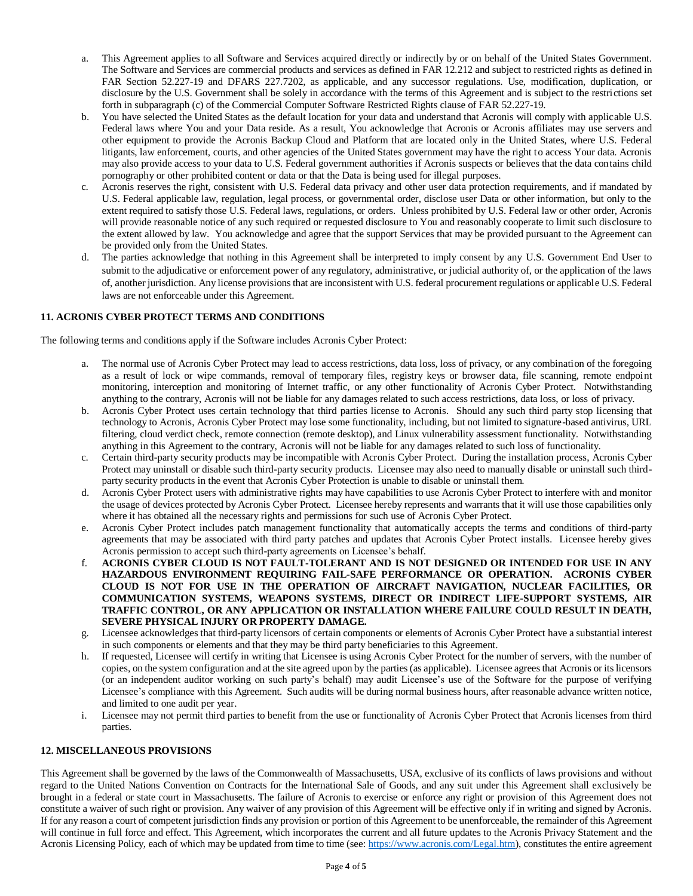- a. This Agreement applies to all Software and Services acquired directly or indirectly by or on behalf of the United States Government. The Software and Services are commercial products and services as defined in FAR 12.212 and subject to restricted rights as defined in FAR Section 52.227-19 and DFARS 227.7202, as applicable, and any successor regulations. Use, modification, duplication, or disclosure by the U.S. Government shall be solely in accordance with the terms of this Agreement and is subject to the restrictions set forth in subparagraph (c) of the Commercial Computer Software Restricted Rights clause of FAR 52.227-19.
- b. You have selected the United States as the default location for your data and understand that Acronis will comply with applicable U.S. Federal laws where You and your Data reside. As a result, You acknowledge that Acronis or Acronis affiliates may use servers and other equipment to provide the Acronis Backup Cloud and Platform that are located only in the United States, where U.S. Federal litigants, law enforcement, courts, and other agencies of the United States government may have the right to access Your data. Acronis may also provide access to your data to U.S. Federal government authorities if Acronis suspects or believes that the data contains child pornography or other prohibited content or data or that the Data is being used for illegal purposes.
- c. Acronis reserves the right, consistent with U.S. Federal data privacy and other user data protection requirements, and if mandated by U.S. Federal applicable law, regulation, legal process, or governmental order, disclose user Data or other information, but only to the extent required to satisfy those U.S. Federal laws, regulations, or orders. Unless prohibited by U.S. Federal law or other order, Acronis will provide reasonable notice of any such required or requested disclosure to You and reasonably cooperate to limit such disclosure to the extent allowed by law. You acknowledge and agree that the support Services that may be provided pursuant to the Agreement can be provided only from the United States.
- d. The parties acknowledge that nothing in this Agreement shall be interpreted to imply consent by any U.S. Government End User to submit to the adjudicative or enforcement power of any regulatory, administrative, or judicial authority of, or the application of the laws of, another jurisdiction. Any license provisions that are inconsistent with U.S. federal procurement regulations or applicable U.S. Federal laws are not enforceable under this Agreement.

# **11. ACRONIS CYBER PROTECT TERMS AND CONDITIONS**

The following terms and conditions apply if the Software includes Acronis Cyber Protect:

- a. The normal use of Acronis Cyber Protect may lead to access restrictions, data loss, loss of privacy, or any combination of the foregoing as a result of lock or wipe commands, removal of temporary files, registry keys or browser data, file scanning, remote endpoint monitoring, interception and monitoring of Internet traffic, or any other functionality of Acronis Cyber Protect. Notwithstanding anything to the contrary, Acronis will not be liable for any damages related to such access restrictions, data loss, or loss of privacy.
- b. Acronis Cyber Protect uses certain technology that third parties license to Acronis. Should any such third party stop licensing that technology to Acronis, Acronis Cyber Protect may lose some functionality, including, but not limited to signature-based antivirus, URL filtering, cloud verdict check, remote connection (remote desktop), and Linux vulnerability assessment functionality. Notwithstanding anything in this Agreement to the contrary, Acronis will not be liable for any damages related to such loss of functionality.
- c. Certain third-party security products may be incompatible with Acronis Cyber Protect. During the installation process, Acronis Cyber Protect may uninstall or disable such third-party security products. Licensee may also need to manually disable or uninstall such thirdparty security products in the event that Acronis Cyber Protection is unable to disable or uninstall them.
- d. Acronis Cyber Protect users with administrative rights may have capabilities to use Acronis Cyber Protect to interfere with and monitor the usage of devices protected by Acronis Cyber Protect. Licensee hereby represents and warrants that it will use those capabilities only where it has obtained all the necessary rights and permissions for such use of Acronis Cyber Protect.
- e. Acronis Cyber Protect includes patch management functionality that automatically accepts the terms and conditions of third-party agreements that may be associated with third party patches and updates that Acronis Cyber Protect installs. Licensee hereby gives Acronis permission to accept such third-party agreements on Licensee's behalf.
- f. **ACRONIS CYBER CLOUD IS NOT FAULT-TOLERANT AND IS NOT DESIGNED OR INTENDED FOR USE IN ANY HAZARDOUS ENVIRONMENT REQUIRING FAIL-SAFE PERFORMANCE OR OPERATION. ACRONIS CYBER CLOUD IS NOT FOR USE IN THE OPERATION OF AIRCRAFT NAVIGATION, NUCLEAR FACILITIES, OR COMMUNICATION SYSTEMS, WEAPONS SYSTEMS, DIRECT OR INDIRECT LIFE-SUPPORT SYSTEMS, AIR TRAFFIC CONTROL, OR ANY APPLICATION OR INSTALLATION WHERE FAILURE COULD RESULT IN DEATH, SEVERE PHYSICAL INJURY OR PROPERTY DAMAGE.**
- g. Licensee acknowledges that third-party licensors of certain components or elements of Acronis Cyber Protect have a substantial interest in such components or elements and that they may be third party beneficiaries to this Agreement.
- h. If requested, Licensee will certify in writing that Licensee is using Acronis Cyber Protect for the number of servers, with the number of copies, on the system configuration and at the site agreed upon by the parties (as applicable). Licensee agrees that Acronis or its licensors (or an independent auditor working on such party's behalf) may audit Licensee's use of the Software for the purpose of verifying Licensee's compliance with this Agreement. Such audits will be during normal business hours, after reasonable advance written notice, and limited to one audit per year.
- i. Licensee may not permit third parties to benefit from the use or functionality of Acronis Cyber Protect that Acronis licenses from third parties.

## **12. MISCELLANEOUS PROVISIONS**

This Agreement shall be governed by the laws of the Commonwealth of Massachusetts, USA, exclusive of its conflicts of laws provisions and without regard to the United Nations Convention on Contracts for the International Sale of Goods, and any suit under this Agreement shall exclusively be brought in a federal or state court in Massachusetts. The failure of Acronis to exercise or enforce any right or provision of this Agreement does not constitute a waiver of such right or provision. Any waiver of any provision of this Agreement will be effective only if in writing and signed by Acronis. If for any reason a court of competent jurisdiction finds any provision or portion of this Agreement to be unenforceable, the remainder of this Agreement will continue in full force and effect. This Agreement, which incorporates the current and all future updates to the Acronis Privacy Statement and the Acronis Licensing Policy, each of which may be updated from time to time (see[: https://www.acronis.com/Legal.htm\)](https://www.acronis.com/Legal.htm), constitutes the entire agreement